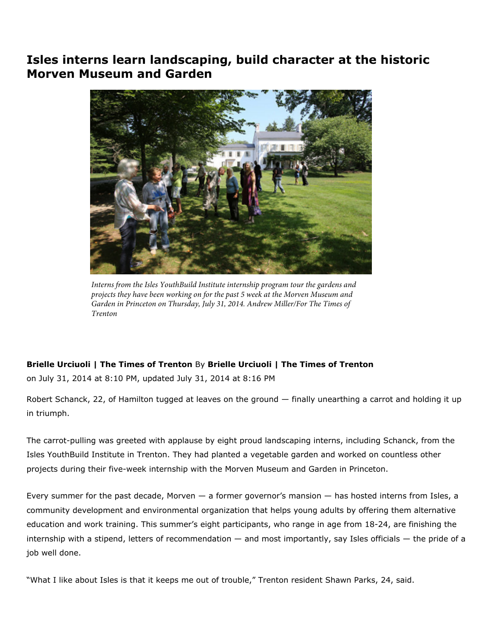## Isles interns learn landscaping, build character at the historic Morven Museum and Garden



*Interns from the Isles YouthBuild Institute internship program tour the gardens and projects they have been working on for the past 5 week at the Morven Museum and Garden in Princeton on Thursday, July 31, 2014. Andrew Miller/For The Times of Trenton*

## Brielle Urciuoli | The Times of Trenton By Brielle Urciuoli | The Times of Trenton

on July 31, 2014 at 8:10 PM, updated July 31, 2014 at 8:16 PM

Robert Schanck, 22, of Hamilton tugged at leaves on the ground — finally unearthing a carrot and holding it up in triumph.

The carrot-pulling was greeted with applause by eight proud landscaping interns, including Schanck, from the Isles YouthBuild Institute in Trenton. They had planted a vegetable garden and worked on countless other projects during their five-week internship with the Morven Museum and Garden in Princeton.

Every summer for the past decade, Morven — a former governor's mansion — has hosted interns from Isles, a community development and environmental organization that helps young adults by offering them alternative education and work training. This summer's eight participants, who range in age from 18-24, are finishing the internship with a stipend, letters of recommendation — and most importantly, say Isles officials — the pride of a job well done.

"What I like about Isles is that it keeps me out of trouble," Trenton resident Shawn Parks, 24, said.